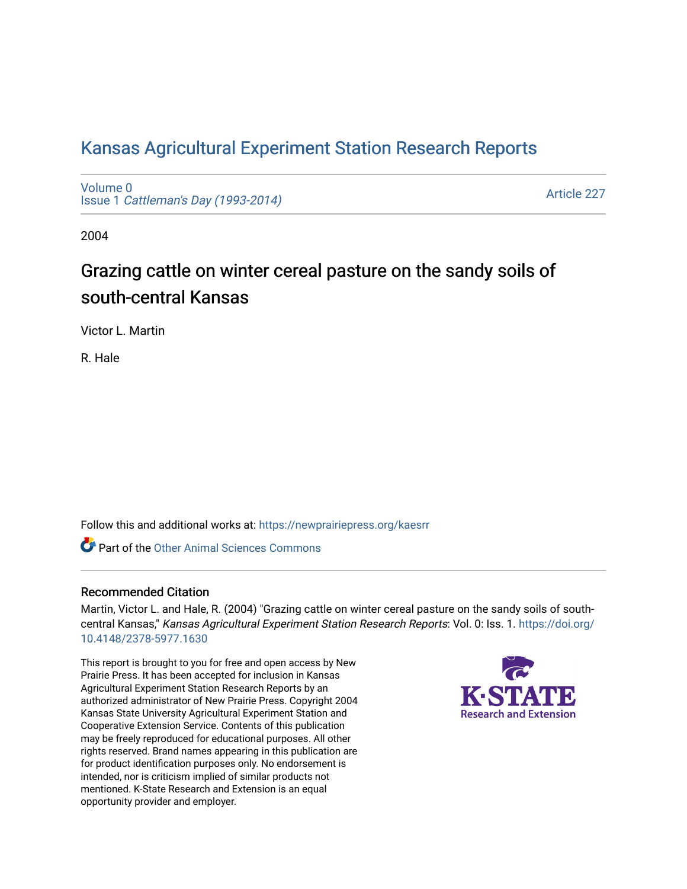# [Kansas Agricultural Experiment Station Research Reports](https://newprairiepress.org/kaesrr)

[Volume 0](https://newprairiepress.org/kaesrr/vol0) Issue 1 [Cattleman's Day \(1993-2014\)](https://newprairiepress.org/kaesrr/vol0/iss1) 

[Article 227](https://newprairiepress.org/kaesrr/vol0/iss1/227) 

2004

# Grazing cattle on winter cereal pasture on the sandy soils of south-central Kansas

Victor L. Martin

R. Hale

Follow this and additional works at: [https://newprairiepress.org/kaesrr](https://newprairiepress.org/kaesrr?utm_source=newprairiepress.org%2Fkaesrr%2Fvol0%2Fiss1%2F227&utm_medium=PDF&utm_campaign=PDFCoverPages) 

**C** Part of the [Other Animal Sciences Commons](http://network.bepress.com/hgg/discipline/82?utm_source=newprairiepress.org%2Fkaesrr%2Fvol0%2Fiss1%2F227&utm_medium=PDF&utm_campaign=PDFCoverPages)

## Recommended Citation

Martin, Victor L. and Hale, R. (2004) "Grazing cattle on winter cereal pasture on the sandy soils of southcentral Kansas," Kansas Agricultural Experiment Station Research Reports: Vol. 0: Iss. 1. [https://doi.org/](https://doi.org/10.4148/2378-5977.1630) [10.4148/2378-5977.1630](https://doi.org/10.4148/2378-5977.1630)

This report is brought to you for free and open access by New Prairie Press. It has been accepted for inclusion in Kansas Agricultural Experiment Station Research Reports by an authorized administrator of New Prairie Press. Copyright 2004 Kansas State University Agricultural Experiment Station and Cooperative Extension Service. Contents of this publication may be freely reproduced for educational purposes. All other rights reserved. Brand names appearing in this publication are for product identification purposes only. No endorsement is intended, nor is criticism implied of similar products not mentioned. K-State Research and Extension is an equal opportunity provider and employer.

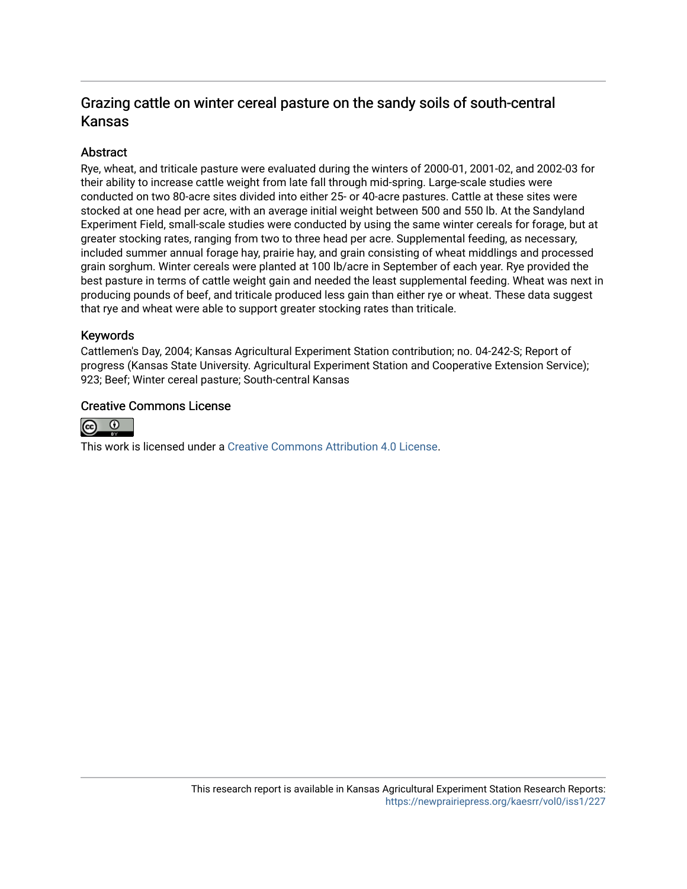# Grazing cattle on winter cereal pasture on the sandy soils of south-central Kansas

# **Abstract**

Rye, wheat, and triticale pasture were evaluated during the winters of 2000-01, 2001-02, and 2002-03 for their ability to increase cattle weight from late fall through mid-spring. Large-scale studies were conducted on two 80-acre sites divided into either 25- or 40-acre pastures. Cattle at these sites were stocked at one head per acre, with an average initial weight between 500 and 550 lb. At the Sandyland Experiment Field, small-scale studies were conducted by using the same winter cereals for forage, but at greater stocking rates, ranging from two to three head per acre. Supplemental feeding, as necessary, included summer annual forage hay, prairie hay, and grain consisting of wheat middlings and processed grain sorghum. Winter cereals were planted at 100 lb/acre in September of each year. Rye provided the best pasture in terms of cattle weight gain and needed the least supplemental feeding. Wheat was next in producing pounds of beef, and triticale produced less gain than either rye or wheat. These data suggest that rye and wheat were able to support greater stocking rates than triticale.

## Keywords

Cattlemen's Day, 2004; Kansas Agricultural Experiment Station contribution; no. 04-242-S; Report of progress (Kansas State University. Agricultural Experiment Station and Cooperative Extension Service); 923; Beef; Winter cereal pasture; South-central Kansas

## Creative Commons License



This work is licensed under a [Creative Commons Attribution 4.0 License](https://creativecommons.org/licenses/by/4.0/).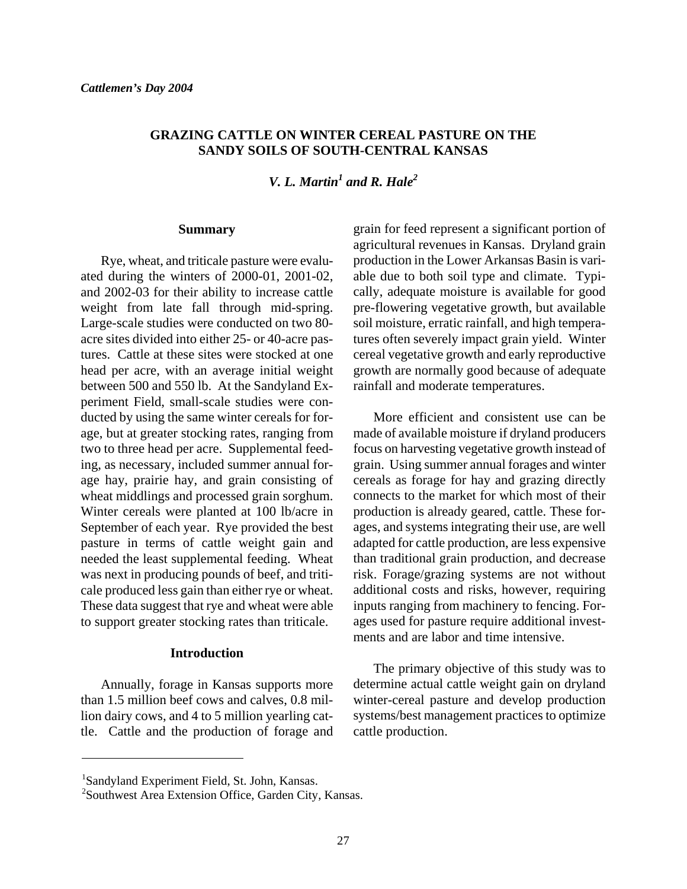## **GRAZING CATTLE ON WINTER CEREAL PASTURE ON THE SANDY SOILS OF SOUTH-CENTRAL KANSAS**

*V. L. Martin<sup>1</sup> and R. Hale<sup>2</sup>* 

#### **Summary**

 Rye, wheat, and triticale pasture were evaluated during the winters of 2000-01, 2001-02, and 2002-03 for their ability to increase cattle weight from late fall through mid-spring. Large-scale studies were conducted on two 80 acre sites divided into either 25- or 40-acre pastures. Cattle at these sites were stocked at one head per acre, with an average initial weight between 500 and 550 lb. At the Sandyland Experiment Field, small-scale studies were conducted by using the same winter cereals for forage, but at greater stocking rates, ranging from two to three head per acre. Supplemental feeding, as necessary, included summer annual forage hay, prairie hay, and grain consisting of wheat middlings and processed grain sorghum. Winter cereals were planted at 100 lb/acre in September of each year. Rye provided the best pasture in terms of cattle weight gain and needed the least supplemental feeding. Wheat was next in producing pounds of beef, and triticale produced less gain than either rye or wheat. These data suggest that rye and wheat were able to support greater stocking rates than triticale.

#### **Introduction**

 Annually, forage in Kansas supports more than 1.5 million beef cows and calves, 0.8 million dairy cows, and 4 to 5 million yearling cattle. Cattle and the production of forage and grain for feed represent a significant portion of agricultural revenues in Kansas. Dryland grain production in the Lower Arkansas Basin is variable due to both soil type and climate. Typically, adequate moisture is available for good pre-flowering vegetative growth, but available soil moisture, erratic rainfall, and high temperatures often severely impact grain yield. Winter cereal vegetative growth and early reproductive growth are normally good because of adequate rainfall and moderate temperatures.

 More efficient and consistent use can be made of available moisture if dryland producers focus on harvesting vegetative growth instead of grain. Using summer annual forages and winter cereals as forage for hay and grazing directly connects to the market for which most of their production is already geared, cattle. These forages, and systems integrating their use, are well adapted for cattle production, are less expensive than traditional grain production, and decrease risk. Forage/grazing systems are not without additional costs and risks, however, requiring inputs ranging from machinery to fencing. Forages used for pasture require additional investments and are labor and time intensive.

 The primary objective of this study was to determine actual cattle weight gain on dryland winter-cereal pasture and develop production systems/best management practices to optimize cattle production.

 $\overline{a}$ 

<sup>1</sup> Sandyland Experiment Field, St. John, Kansas.

<sup>2</sup> Southwest Area Extension Office, Garden City, Kansas.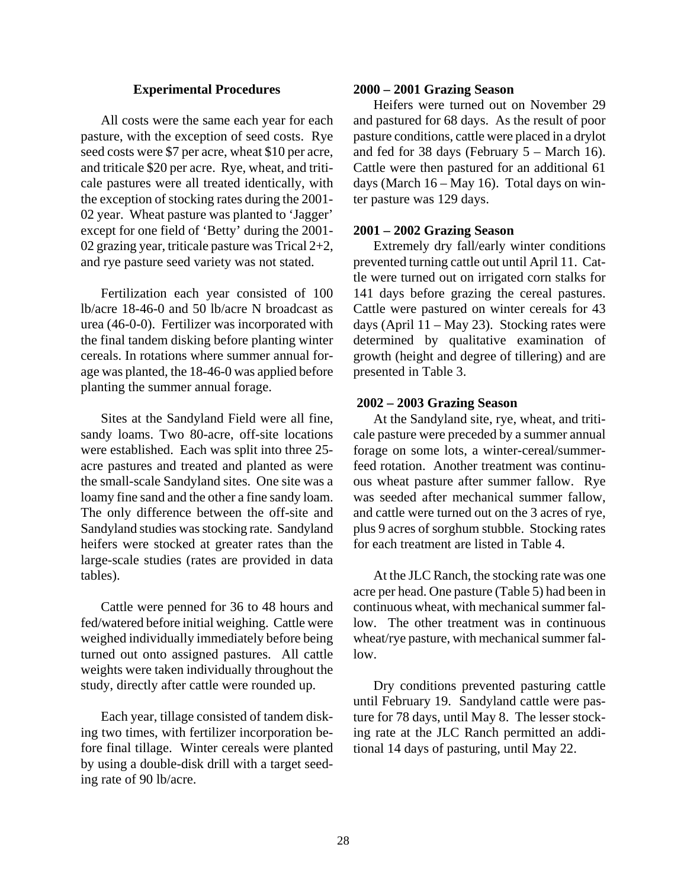#### **Experimental Procedures**

 All costs were the same each year for each pasture, with the exception of seed costs. Rye seed costs were \$7 per acre, wheat \$10 per acre, and triticale \$20 per acre. Rye, wheat, and triticale pastures were all treated identically, with the exception of stocking rates during the 2001- 02 year. Wheat pasture was planted to 'Jagger' except for one field of 'Betty' during the 2001- 02 grazing year, triticale pasture was Trical 2+2, and rye pasture seed variety was not stated.

 Fertilization each year consisted of 100 lb/acre 18-46-0 and 50 lb/acre N broadcast as urea (46-0-0). Fertilizer was incorporated with the final tandem disking before planting winter cereals. In rotations where summer annual forage was planted, the 18-46-0 was applied before planting the summer annual forage.

 Sites at the Sandyland Field were all fine, sandy loams. Two 80-acre, off-site locations were established. Each was split into three 25 acre pastures and treated and planted as were the small-scale Sandyland sites. One site was a loamy fine sand and the other a fine sandy loam. The only difference between the off-site and Sandyland studies was stocking rate. Sandyland heifers were stocked at greater rates than the large-scale studies (rates are provided in data tables).

 Cattle were penned for 36 to 48 hours and fed/watered before initial weighing. Cattle were weighed individually immediately before being turned out onto assigned pastures. All cattle weights were taken individually throughout the study, directly after cattle were rounded up.

 Each year, tillage consisted of tandem disking two times, with fertilizer incorporation before final tillage. Winter cereals were planted by using a double-disk drill with a target seeding rate of 90 lb/acre.

#### **2000 – 2001 Grazing Season**

 Heifers were turned out on November 29 and pastured for 68 days. As the result of poor pasture conditions, cattle were placed in a drylot and fed for 38 days (February  $5 -$  March 16). Cattle were then pastured for an additional 61 days (March 16 – May 16). Total days on winter pasture was 129 days.

#### **2001 – 2002 Grazing Season**

 Extremely dry fall/early winter conditions prevented turning cattle out until April 11. Cattle were turned out on irrigated corn stalks for 141 days before grazing the cereal pastures. Cattle were pastured on winter cereals for 43 days (April 11 – May 23). Stocking rates were determined by qualitative examination of growth (height and degree of tillering) and are presented in Table 3.

#### **2002 – 2003 Grazing Season**

 At the Sandyland site, rye, wheat, and triticale pasture were preceded by a summer annual forage on some lots, a winter-cereal/summerfeed rotation. Another treatment was continuous wheat pasture after summer fallow. Rye was seeded after mechanical summer fallow, and cattle were turned out on the 3 acres of rye, plus 9 acres of sorghum stubble. Stocking rates for each treatment are listed in Table 4.

 At the JLC Ranch, the stocking rate was one acre per head. One pasture (Table 5) had been in continuous wheat, with mechanical summer fallow. The other treatment was in continuous wheat/rye pasture, with mechanical summer fallow.

 Dry conditions prevented pasturing cattle until February 19. Sandyland cattle were pasture for 78 days, until May 8. The lesser stocking rate at the JLC Ranch permitted an additional 14 days of pasturing, until May 22.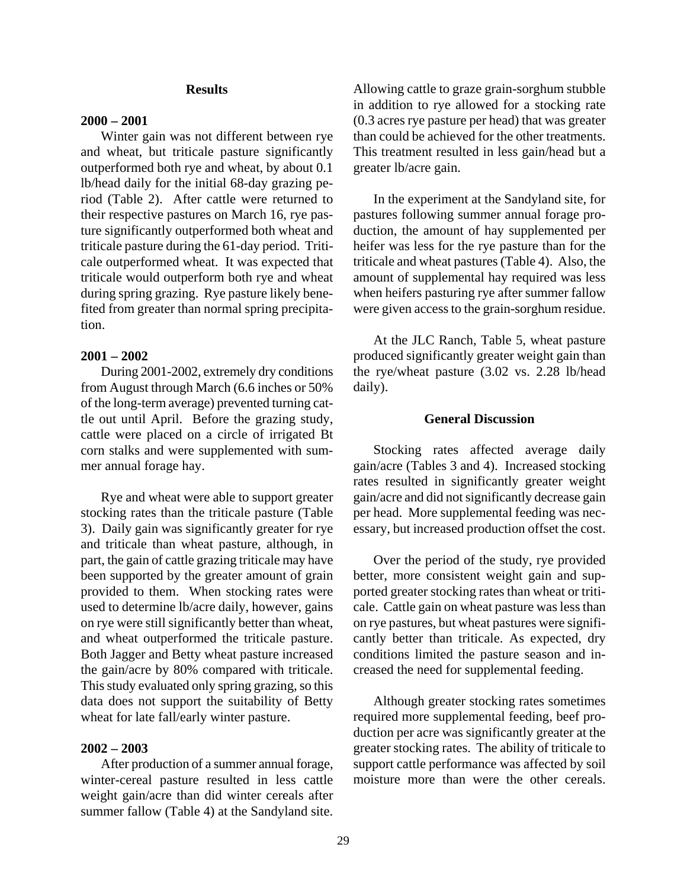#### **Results**

#### **2000 – 2001**

 Winter gain was not different between rye and wheat, but triticale pasture significantly outperformed both rye and wheat, by about 0.1 lb/head daily for the initial 68-day grazing period (Table 2). After cattle were returned to their respective pastures on March 16, rye pasture significantly outperformed both wheat and triticale pasture during the 61-day period. Triticale outperformed wheat. It was expected that triticale would outperform both rye and wheat during spring grazing. Rye pasture likely benefited from greater than normal spring precipitation.

#### **2001 – 2002**

 During 2001-2002, extremely dry conditions from August through March (6.6 inches or 50% of the long-term average) prevented turning cattle out until April. Before the grazing study, cattle were placed on a circle of irrigated Bt corn stalks and were supplemented with summer annual forage hay.

 Rye and wheat were able to support greater stocking rates than the triticale pasture (Table 3). Daily gain was significantly greater for rye and triticale than wheat pasture, although, in part, the gain of cattle grazing triticale may have been supported by the greater amount of grain provided to them. When stocking rates were used to determine lb/acre daily, however, gains on rye were still significantly better than wheat, and wheat outperformed the triticale pasture. Both Jagger and Betty wheat pasture increased the gain/acre by 80% compared with triticale. This study evaluated only spring grazing, so this data does not support the suitability of Betty wheat for late fall/early winter pasture.

#### **2002 – 2003**

After production of a summer annual forage, winter-cereal pasture resulted in less cattle weight gain/acre than did winter cereals after summer fallow (Table 4) at the Sandyland site. Allowing cattle to graze grain-sorghum stubble in addition to rye allowed for a stocking rate (0.3 acres rye pasture per head) that was greater than could be achieved for the other treatments. This treatment resulted in less gain/head but a greater lb/acre gain.

 In the experiment at the Sandyland site, for pastures following summer annual forage production, the amount of hay supplemented per heifer was less for the rye pasture than for the triticale and wheat pastures (Table 4). Also, the amount of supplemental hay required was less when heifers pasturing rye after summer fallow were given access to the grain-sorghum residue.

 At the JLC Ranch, Table 5, wheat pasture produced significantly greater weight gain than the rye/wheat pasture (3.02 vs. 2.28 lb/head daily).

#### **General Discussion**

 Stocking rates affected average daily gain/acre (Tables 3 and 4). Increased stocking rates resulted in significantly greater weight gain/acre and did not significantly decrease gain per head. More supplemental feeding was necessary, but increased production offset the cost.

 Over the period of the study, rye provided better, more consistent weight gain and supported greater stocking rates than wheat or triticale. Cattle gain on wheat pasture was less than on rye pastures, but wheat pastures were significantly better than triticale. As expected, dry conditions limited the pasture season and increased the need for supplemental feeding.

 Although greater stocking rates sometimes required more supplemental feeding, beef production per acre was significantly greater at the greater stocking rates. The ability of triticale to support cattle performance was affected by soil moisture more than were the other cereals.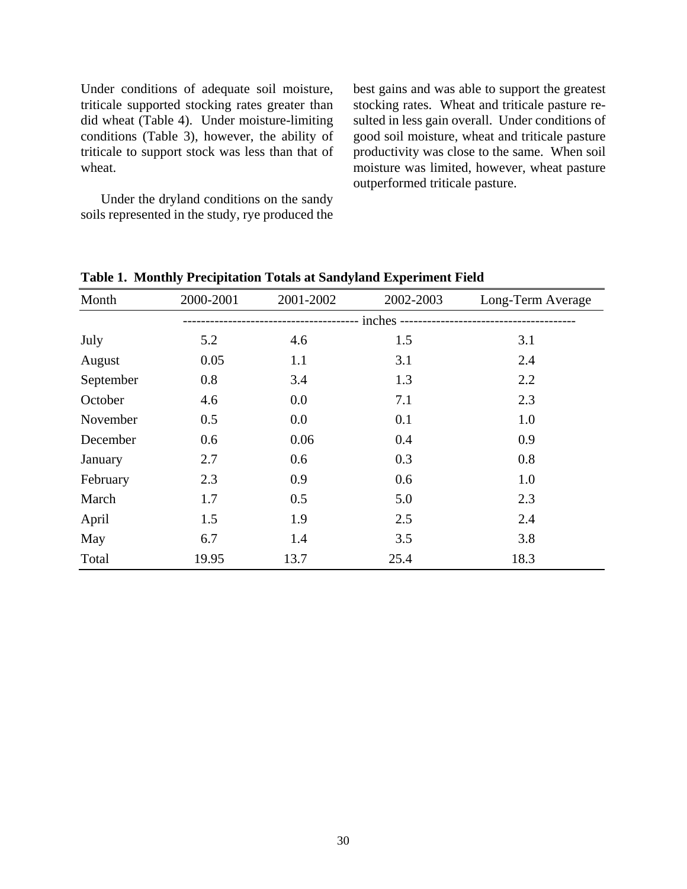Under conditions of adequate soil moisture, triticale supported stocking rates greater than did wheat (Table 4). Under moisture-limiting conditions (Table 3), however, the ability of triticale to support stock was less than that of wheat.

 Under the dryland conditions on the sandy soils represented in the study, rye produced the

best gains and was able to support the greatest stocking rates. Wheat and triticale pasture resulted in less gain overall. Under conditions of good soil moisture, wheat and triticale pasture productivity was close to the same. When soil moisture was limited, however, wheat pasture outperformed triticale pasture.

| Month     | 2000-2001 | 2001-2002 | 2002-2003                              | Long-Term Average |
|-----------|-----------|-----------|----------------------------------------|-------------------|
|           |           |           | - inches ----------------------------- |                   |
| July      | 5.2       | 4.6       | 1.5                                    | 3.1               |
| August    | 0.05      | 1.1       | 3.1                                    | 2.4               |
| September | 0.8       | 3.4       | 1.3                                    | 2.2               |
| October   | 4.6       | 0.0       | 7.1                                    | 2.3               |
| November  | 0.5       | 0.0       | 0.1                                    | 1.0               |
| December  | 0.6       | 0.06      | 0.4                                    | 0.9               |
| January   | 2.7       | 0.6       | 0.3                                    | 0.8               |
| February  | 2.3       | 0.9       | 0.6                                    | 1.0               |
| March     | 1.7       | 0.5       | 5.0                                    | 2.3               |
| April     | 1.5       | 1.9       | 2.5                                    | 2.4               |
| May       | 6.7       | 1.4       | 3.5                                    | 3.8               |
| Total     | 19.95     | 13.7      | 25.4                                   | 18.3              |

**Table 1. Monthly Precipitation Totals at Sandyland Experiment Field**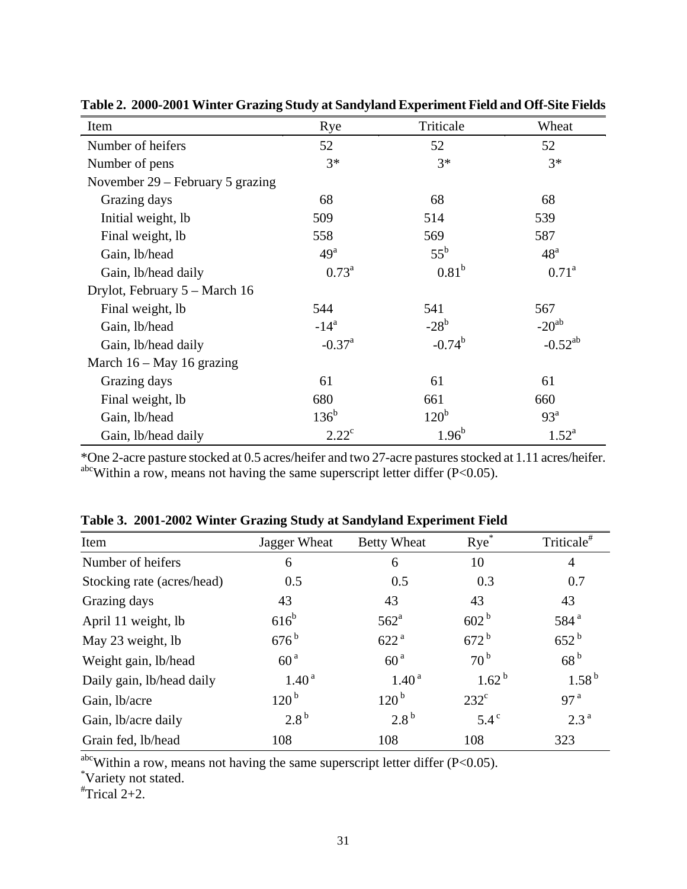| Item                               | Rye                  | Triticale         | Wheat           |  |
|------------------------------------|----------------------|-------------------|-----------------|--|
| Number of heifers                  | 52                   | 52                | 52              |  |
| Number of pens                     | $3*$                 | $3*$              | $3*$            |  |
| November $29$ – February 5 grazing |                      |                   |                 |  |
| Grazing days                       | 68                   | 68                | 68              |  |
| Initial weight, lb                 | 509                  | 514               | 539             |  |
| Final weight, lb                   | 558                  | 569               | 587             |  |
| Gain, lb/head                      | 49 <sup>a</sup>      | $55^{\rm b}$      | 48 <sup>a</sup> |  |
| Gain, lb/head daily                | $0.73^{\rm a}$       | 0.81 <sup>b</sup> | $0.71^{\rm a}$  |  |
| Drylot, February 5 – March 16      |                      |                   |                 |  |
| Final weight, lb                   | 544                  | 541               | 567             |  |
| Gain, lb/head                      | $-14^a$              | $-28^{\rm b}$     | $-20^{ab}$      |  |
| Gain, lb/head daily                | $-0.37$ <sup>a</sup> | $-0.74^{b}$       | $-0.52^{ab}$    |  |
| March $16 - May 16$ grazing        |                      |                   |                 |  |
| Grazing days                       | 61                   | 61                | 61              |  |
| Final weight, lb                   | 680                  | 661               | 660             |  |
| Gain, lb/head                      | $136^{\rm b}$        | 120 <sup>b</sup>  | 93 <sup>a</sup> |  |
| Gain, lb/head daily                | $2.22^{\circ}$       | $1.96^{b}$        | $1.52^{\rm a}$  |  |

**Table 2. 2000-2001 Winter Grazing Study at Sandyland Experiment Field and Off-Site Fields** 

\*One 2-acre pasture stocked at 0.5 acres/heifer and two 27-acre pastures stocked at 1.11 acres/heifer.  $a^{\text{bc}}$ Within a row, means not having the same superscript letter differ (P<0.05).

| Item                       | Jagger Wheat       | <b>Betty Wheat</b> | $Rye^*$           | Triticale <sup>#</sup> |
|----------------------------|--------------------|--------------------|-------------------|------------------------|
| Number of heifers          | 6                  | 6                  | 10                | $\overline{4}$         |
| Stocking rate (acres/head) | 0.5                | 0.5                | 0.3               | 0.7                    |
| Grazing days               | 43                 | 43                 | 43                | 43                     |
| April 11 weight, lb        | $616^b$            | $562^{\mathrm{a}}$ | 602 <sup>b</sup>  | 584 <sup>a</sup>       |
| May 23 weight, lb          | $676^{\mathrm{b}}$ | 622 <sup>a</sup>   | $672^{\rm b}$     | $652^{\rm b}$          |
| Weight gain, lb/head       | 60 <sup>a</sup>    | 60 <sup>a</sup>    | $70^{\mathrm{b}}$ | 68 <sup>b</sup>        |
| Daily gain, lb/head daily  | 1.40 <sup>a</sup>  | 1.40 <sup>a</sup>  | $1.62^{b}$        | $1.58^{b}$             |
| Gain, lb/acre              | $120^{b}$          | $120^{b}$          | $232^{\circ}$     | 97 <sup>a</sup>        |
| Gain, lb/acre daily        | $2.8^{\rm b}$      | $2.8^{\rm b}$      | $5.4^\circ$       | 2.3 <sup>a</sup>       |
| Grain fed, lb/head         | 108                | 108                | 108               | 323                    |

**Table 3. 2001-2002 Winter Grazing Study at Sandyland Experiment Field** 

 $a$ <sup>hc</sup>Within a row, means not having the same superscript letter differ (P<0.05).

Variety not stated. # Trical 2+2.